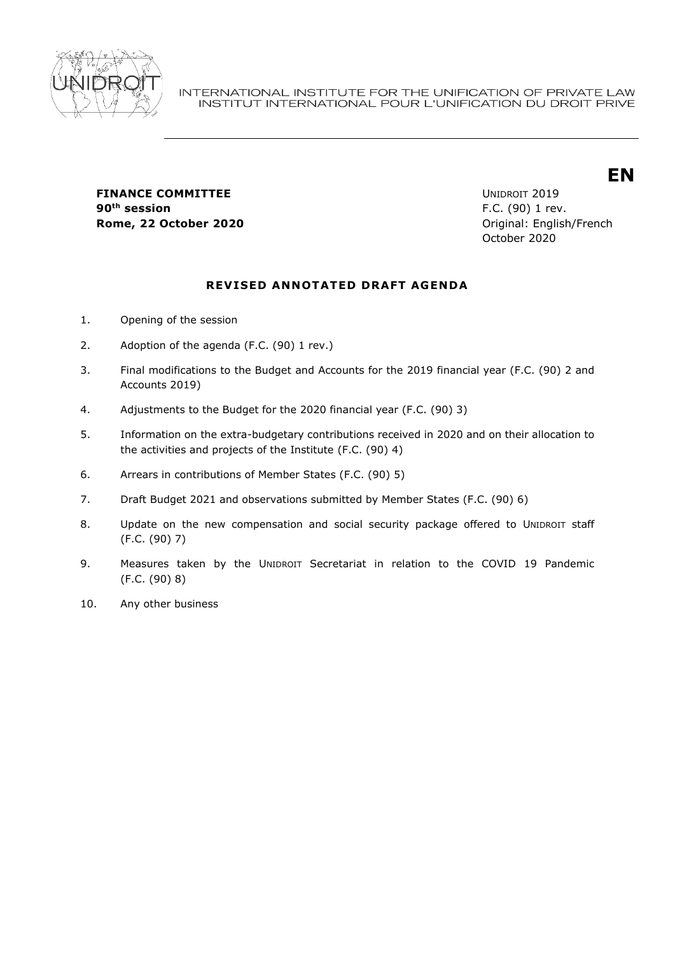

**FINANCE COMMITTEE EXAMPLE 2019 90th session** F.C. (90) 1 rev.

**Rome, 22 October 2020 Community Community Community Community Community Community Community Community Community Community Community Community Community Community Community Community Commu** October 2020

**EN**

## **REVISED ANNOTATED DRAFT AGENDA**

- 1. Opening of the session
- 2. Adoption of the agenda (F.C. (90) 1 rev.)
- 3. Final modifications to the Budget and Accounts for the 2019 financial year (F.C. (90) 2 and Accounts 2019)
- 4. Adjustments to the Budget for the 2020 financial year (F.C. (90) 3)
- 5. Information on the extra-budgetary contributions received in 2020 and on their allocation to the activities and projects of the Institute (F.C. (90) 4)
- 6. Arrears in contributions of Member States (F.C. (90) 5)
- 7. Draft Budget 2021 and observations submitted by Member States (F.C. (90) 6)
- 8. Update on the new compensation and social security package offered to UNIDROIT staff (F.C. (90) 7)
- 9. Measures taken by the UNIDROIT Secretariat in relation to the COVID 19 Pandemic (F.C. (90) 8)
- 10. Any other business